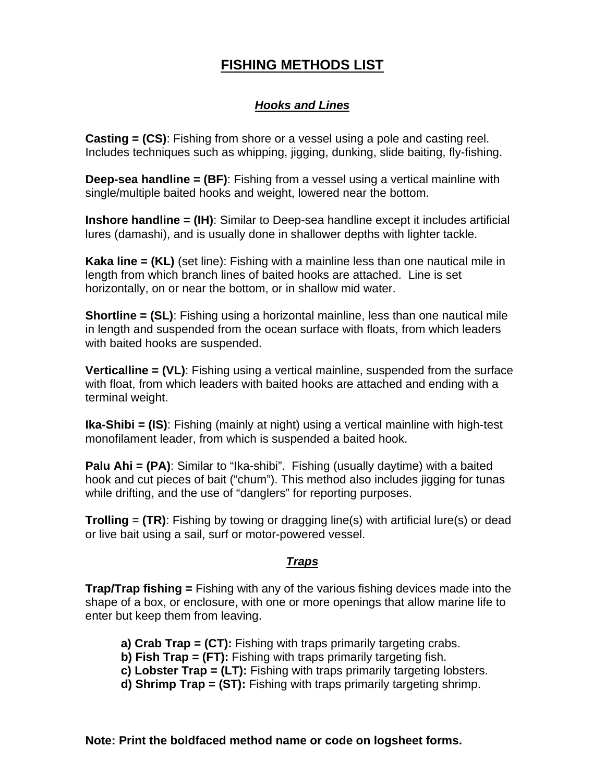# **FISHING METHODS LIST**

## *Hooks and Lines*

**Casting = (CS)**: Fishing from shore or a vessel using a pole and casting reel. Includes techniques such as whipping, jigging, dunking, slide baiting, fly-fishing.

**Deep-sea handline = (BF)**: Fishing from a vessel using a vertical mainline with single/multiple baited hooks and weight, lowered near the bottom.

**Inshore handline = (IH)**: Similar to Deep-sea handline except it includes artificial lures (damashi), and is usually done in shallower depths with lighter tackle.

**Kaka line = (KL)** (set line): Fishing with a mainline less than one nautical mile in length from which branch lines of baited hooks are attached. Line is set horizontally, on or near the bottom, or in shallow mid water.

**Shortline = (SL)**: Fishing using a horizontal mainline, less than one nautical mile in length and suspended from the ocean surface with floats, from which leaders with baited hooks are suspended.

**Verticalline = (VL)**: Fishing using a vertical mainline, suspended from the surface with float, from which leaders with baited hooks are attached and ending with a terminal weight.

**Ika-Shibi = (IS)**: Fishing (mainly at night) using a vertical mainline with high-test monofilament leader, from which is suspended a baited hook.

**Palu Ahi = (PA)**: Similar to "Ika-shibi". Fishing (usually daytime) with a baited hook and cut pieces of bait ("chum"). This method also includes jigging for tunas while drifting, and the use of "danglers" for reporting purposes.

**Trolling** = **(TR)**: Fishing by towing or dragging line(s) with artificial lure(s) or dead or live bait using a sail, surf or motor-powered vessel.

## *Traps*

**Trap/Trap fishing =** Fishing with any of the various fishing devices made into the shape of a box, or enclosure, with one or more openings that allow marine life to enter but keep them from leaving.

**a) Crab Trap = (CT):** Fishing with traps primarily targeting crabs.

**b) Fish Trap = (FT):** Fishing with traps primarily targeting fish.

**c) Lobster Trap = (LT):** Fishing with traps primarily targeting lobsters.

**d) Shrimp Trap = (ST):** Fishing with traps primarily targeting shrimp.